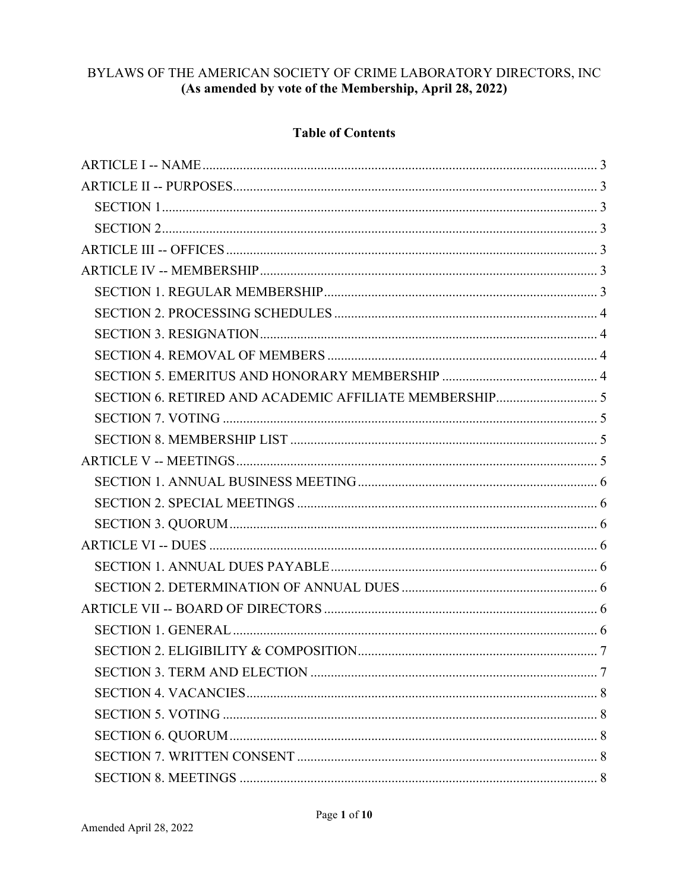# BYLAWS OF THE AMERICAN SOCIETY OF CRIME LABORATORY DIRECTORS, INC (As amended by vote of the Membership, April 28, 2022)

### **Table of Contents**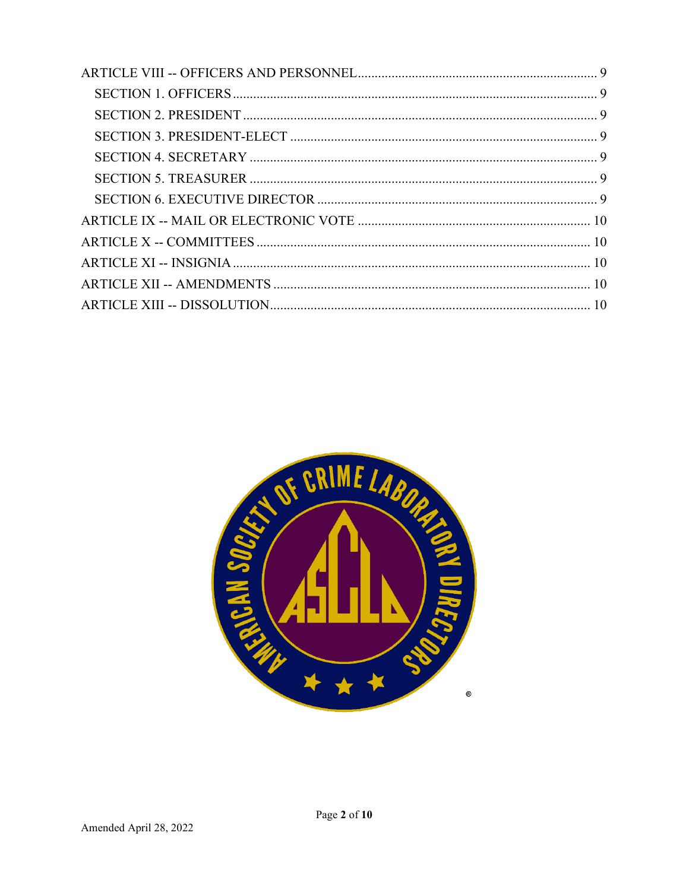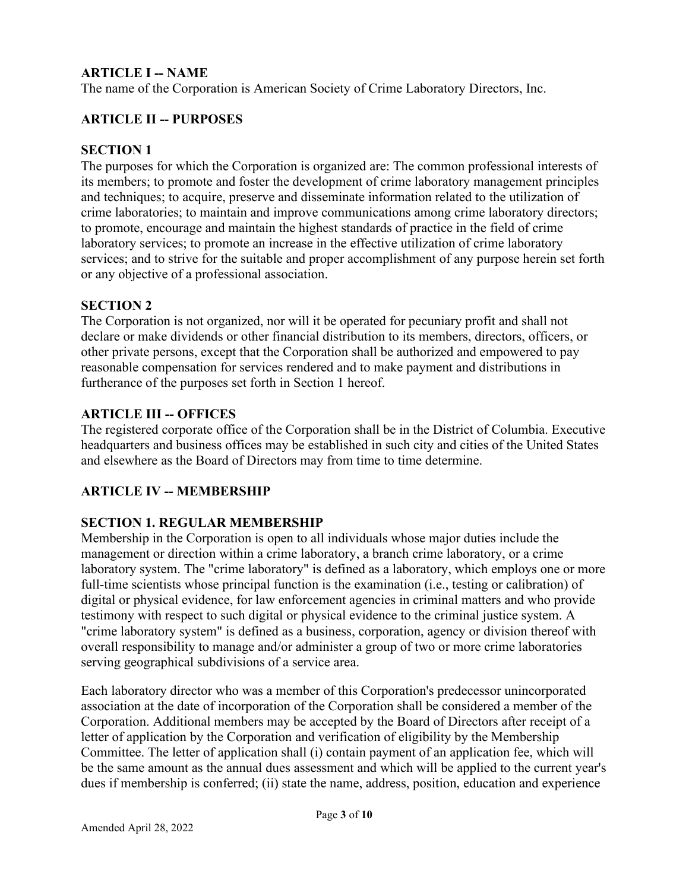### <span id="page-2-0"></span>**ARTICLE I -- NAME**

The name of the Corporation is American Society of Crime Laboratory Directors, Inc.

### <span id="page-2-1"></span>**ARTICLE II -- PURPOSES**

#### <span id="page-2-2"></span>**SECTION 1**

The purposes for which the Corporation is organized are: The common professional interests of its members; to promote and foster the development of crime laboratory management principles and techniques; to acquire, preserve and disseminate information related to the utilization of crime laboratories; to maintain and improve communications among crime laboratory directors; to promote, encourage and maintain the highest standards of practice in the field of crime laboratory services; to promote an increase in the effective utilization of crime laboratory services; and to strive for the suitable and proper accomplishment of any purpose herein set forth or any objective of a professional association.

#### <span id="page-2-3"></span>**SECTION 2**

The Corporation is not organized, nor will it be operated for pecuniary profit and shall not declare or make dividends or other financial distribution to its members, directors, officers, or other private persons, except that the Corporation shall be authorized and empowered to pay reasonable compensation for services rendered and to make payment and distributions in furtherance of the purposes set forth in Section 1 hereof.

#### <span id="page-2-4"></span>**ARTICLE III -- OFFICES**

The registered corporate office of the Corporation shall be in the District of Columbia. Executive headquarters and business offices may be established in such city and cities of the United States and elsewhere as the Board of Directors may from time to time determine.

#### <span id="page-2-5"></span>**ARTICLE IV -- MEMBERSHIP**

#### <span id="page-2-6"></span>**SECTION 1. REGULAR MEMBERSHIP**

Membership in the Corporation is open to all individuals whose major duties include the management or direction within a crime laboratory, a branch crime laboratory, or a crime laboratory system. The "crime laboratory" is defined as a laboratory, which employs one or more full-time scientists whose principal function is the examination (i.e., testing or calibration) of digital or physical evidence, for law enforcement agencies in criminal matters and who provide testimony with respect to such digital or physical evidence to the criminal justice system. A "crime laboratory system" is defined as a business, corporation, agency or division thereof with overall responsibility to manage and/or administer a group of two or more crime laboratories serving geographical subdivisions of a service area.

Each laboratory director who was a member of this Corporation's predecessor unincorporated association at the date of incorporation of the Corporation shall be considered a member of the Corporation. Additional members may be accepted by the Board of Directors after receipt of a letter of application by the Corporation and verification of eligibility by the Membership Committee. The letter of application shall (i) contain payment of an application fee, which will be the same amount as the annual dues assessment and which will be applied to the current year's dues if membership is conferred; (ii) state the name, address, position, education and experience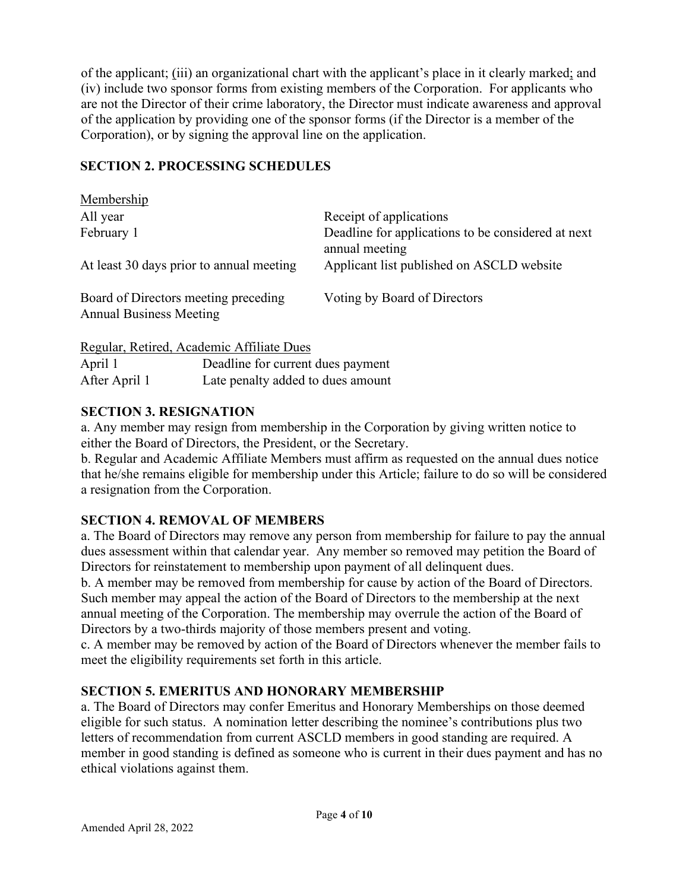of the applicant; (iii) an organizational chart with the applicant's place in it clearly marked; and (iv) include two sponsor forms from existing members of the Corporation. For applicants who are not the Director of their crime laboratory, the Director must indicate awareness and approval of the application by providing one of the sponsor forms (if the Director is a member of the Corporation), or by signing the approval line on the application.

### <span id="page-3-0"></span>**SECTION 2. PROCESSING SCHEDULES**

| Membership                                                             |                                                                      |
|------------------------------------------------------------------------|----------------------------------------------------------------------|
| All year                                                               | Receipt of applications                                              |
| February 1                                                             | Deadline for applications to be considered at next<br>annual meeting |
| At least 30 days prior to annual meeting                               | Applicant list published on ASCLD website                            |
| Board of Directors meeting preceding<br><b>Annual Business Meeting</b> | Voting by Board of Directors                                         |
| Regular, Retired, Academic Affiliate Dues                              |                                                                      |

April 1 **Deadline for current dues payment** After April 1 Late penalty added to dues amount

### <span id="page-3-1"></span>**SECTION 3. RESIGNATION**

a. Any member may resign from membership in the Corporation by giving written notice to either the Board of Directors, the President, or the Secretary.

b. Regular and Academic Affiliate Members must affirm as requested on the annual dues notice that he/she remains eligible for membership under this Article; failure to do so will be considered a resignation from the Corporation.

# <span id="page-3-2"></span>**SECTION 4. REMOVAL OF MEMBERS**

a. The Board of Directors may remove any person from membership for failure to pay the annual dues assessment within that calendar year. Any member so removed may petition the Board of Directors for reinstatement to membership upon payment of all delinquent dues.

b. A member may be removed from membership for cause by action of the Board of Directors. Such member may appeal the action of the Board of Directors to the membership at the next annual meeting of the Corporation. The membership may overrule the action of the Board of Directors by a two-thirds majority of those members present and voting.

c. A member may be removed by action of the Board of Directors whenever the member fails to meet the eligibility requirements set forth in this article.

# <span id="page-3-3"></span>**SECTION 5. EMERITUS AND HONORARY MEMBERSHIP**

a. The Board of Directors may confer Emeritus and Honorary Memberships on those deemed eligible for such status. A nomination letter describing the nominee's contributions plus two letters of recommendation from current ASCLD members in good standing are required. A member in good standing is defined as someone who is current in their dues payment and has no ethical violations against them.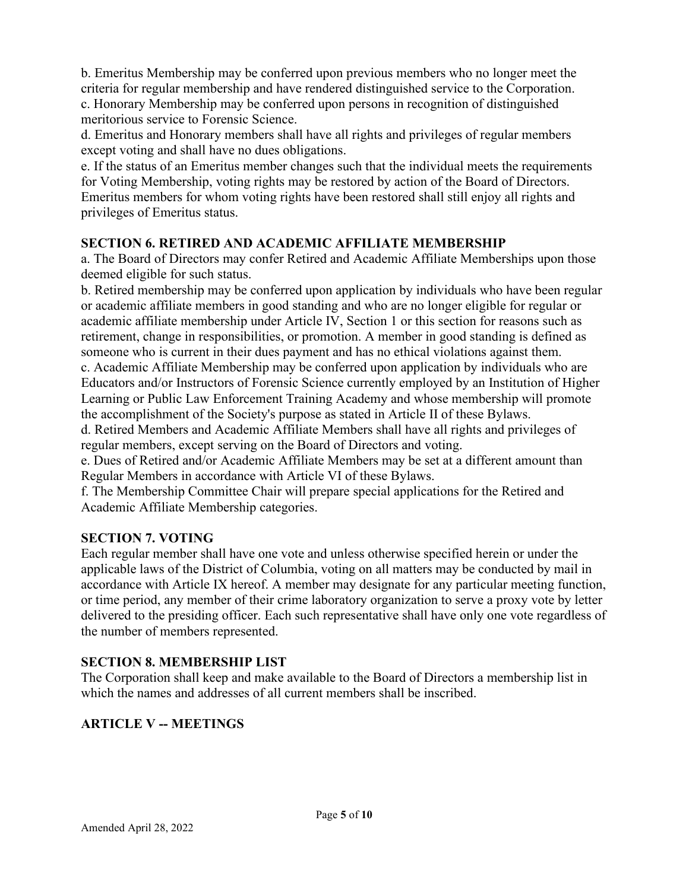b. Emeritus Membership may be conferred upon previous members who no longer meet the criteria for regular membership and have rendered distinguished service to the Corporation. c. Honorary Membership may be conferred upon persons in recognition of distinguished meritorious service to Forensic Science.

d. Emeritus and Honorary members shall have all rights and privileges of regular members except voting and shall have no dues obligations.

e. If the status of an Emeritus member changes such that the individual meets the requirements for Voting Membership, voting rights may be restored by action of the Board of Directors. Emeritus members for whom voting rights have been restored shall still enjoy all rights and privileges of Emeritus status.

#### <span id="page-4-0"></span>**SECTION 6. RETIRED AND ACADEMIC AFFILIATE MEMBERSHIP**

a. The Board of Directors may confer Retired and Academic Affiliate Memberships upon those deemed eligible for such status.

b. Retired membership may be conferred upon application by individuals who have been regular or academic affiliate members in good standing and who are no longer eligible for regular or academic affiliate membership under Article IV, Section 1 or this section for reasons such as retirement, change in responsibilities, or promotion. A member in good standing is defined as someone who is current in their dues payment and has no ethical violations against them. c. Academic Affiliate Membership may be conferred upon application by individuals who are Educators and/or Instructors of Forensic Science currently employed by an Institution of Higher Learning or Public Law Enforcement Training Academy and whose membership will promote the accomplishment of the Society's purpose as stated in Article II of these Bylaws.

d. Retired Members and Academic Affiliate Members shall have all rights and privileges of regular members, except serving on the Board of Directors and voting.

e. Dues of Retired and/or Academic Affiliate Members may be set at a different amount than Regular Members in accordance with Article VI of these Bylaws.

f. The Membership Committee Chair will prepare special applications for the Retired and Academic Affiliate Membership categories.

#### <span id="page-4-1"></span>**SECTION 7. VOTING**

Each regular member shall have one vote and unless otherwise specified herein or under the applicable laws of the District of Columbia, voting on all matters may be conducted by mail in accordance with Article IX hereof. A member may designate for any particular meeting function, or time period, any member of their crime laboratory organization to serve a proxy vote by letter delivered to the presiding officer. Each such representative shall have only one vote regardless of the number of members represented.

#### <span id="page-4-2"></span>**SECTION 8. MEMBERSHIP LIST**

The Corporation shall keep and make available to the Board of Directors a membership list in which the names and addresses of all current members shall be inscribed.

#### <span id="page-4-3"></span>**ARTICLE V -- MEETINGS**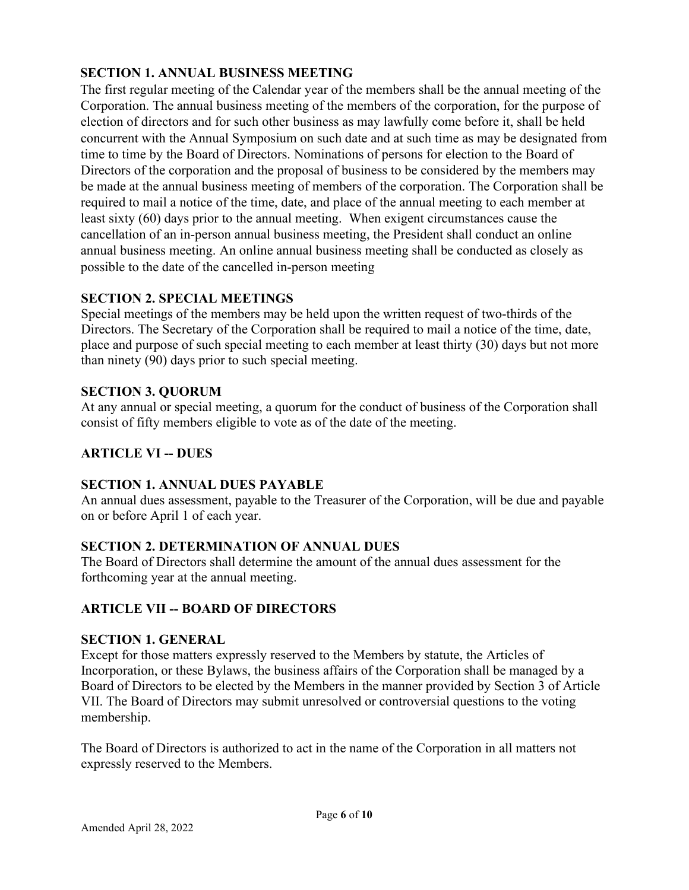# <span id="page-5-0"></span>**SECTION 1. ANNUAL BUSINESS MEETING**

The first regular meeting of the Calendar year of the members shall be the annual meeting of the Corporation. The annual business meeting of the members of the corporation, for the purpose of election of directors and for such other business as may lawfully come before it, shall be held concurrent with the Annual Symposium on such date and at such time as may be designated from time to time by the Board of Directors. Nominations of persons for election to the Board of Directors of the corporation and the proposal of business to be considered by the members may be made at the annual business meeting of members of the corporation. The Corporation shall be required to mail a notice of the time, date, and place of the annual meeting to each member at least sixty (60) days prior to the annual meeting. When exigent circumstances cause the cancellation of an in-person annual business meeting, the President shall conduct an online annual business meeting. An online annual business meeting shall be conducted as closely as possible to the date of the cancelled in-person meeting

### <span id="page-5-1"></span>**SECTION 2. SPECIAL MEETINGS**

Special meetings of the members may be held upon the written request of two-thirds of the Directors. The Secretary of the Corporation shall be required to mail a notice of the time, date, place and purpose of such special meeting to each member at least thirty (30) days but not more than ninety (90) days prior to such special meeting.

### <span id="page-5-2"></span>**SECTION 3. QUORUM**

At any annual or special meeting, a quorum for the conduct of business of the Corporation shall consist of fifty members eligible to vote as of the date of the meeting.

# <span id="page-5-3"></span>**ARTICLE VI -- DUES**

#### <span id="page-5-4"></span>**SECTION 1. ANNUAL DUES PAYABLE**

An annual dues assessment, payable to the Treasurer of the Corporation, will be due and payable on or before April 1 of each year.

# <span id="page-5-5"></span>**SECTION 2. DETERMINATION OF ANNUAL DUES**

The Board of Directors shall determine the amount of the annual dues assessment for the forthcoming year at the annual meeting.

# <span id="page-5-6"></span>**ARTICLE VII -- BOARD OF DIRECTORS**

#### <span id="page-5-7"></span>**SECTION 1. GENERAL**

Except for those matters expressly reserved to the Members by statute, the Articles of Incorporation, or these Bylaws, the business affairs of the Corporation shall be managed by a Board of Directors to be elected by the Members in the manner provided by Section 3 of Article VII. The Board of Directors may submit unresolved or controversial questions to the voting membership.

The Board of Directors is authorized to act in the name of the Corporation in all matters not expressly reserved to the Members.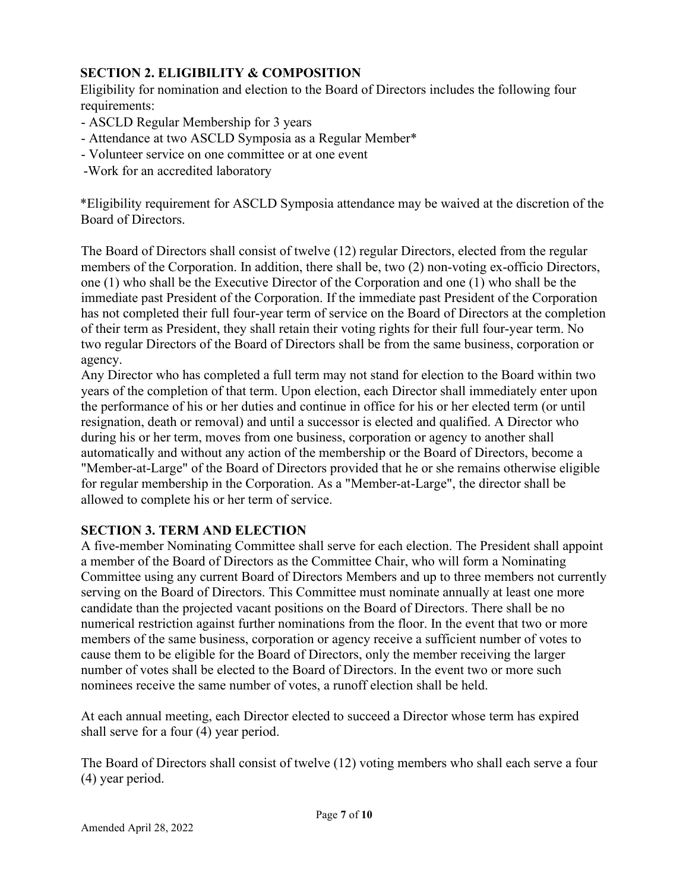# <span id="page-6-0"></span>**SECTION 2. ELIGIBILITY & COMPOSITION**

Eligibility for nomination and election to the Board of Directors includes the following four requirements:

- ASCLD Regular Membership for 3 years
- Attendance at two ASCLD Symposia as a Regular Member\*
- Volunteer service on one committee or at one event
- -Work for an accredited laboratory

\*Eligibility requirement for ASCLD Symposia attendance may be waived at the discretion of the Board of Directors.

The Board of Directors shall consist of twelve (12) regular Directors, elected from the regular members of the Corporation. In addition, there shall be, two (2) non-voting ex-officio Directors, one (1) who shall be the Executive Director of the Corporation and one (1) who shall be the immediate past President of the Corporation. If the immediate past President of the Corporation has not completed their full four-year term of service on the Board of Directors at the completion of their term as President, they shall retain their voting rights for their full four-year term. No two regular Directors of the Board of Directors shall be from the same business, corporation or agency.

Any Director who has completed a full term may not stand for election to the Board within two years of the completion of that term. Upon election, each Director shall immediately enter upon the performance of his or her duties and continue in office for his or her elected term (or until resignation, death or removal) and until a successor is elected and qualified. A Director who during his or her term, moves from one business, corporation or agency to another shall automatically and without any action of the membership or the Board of Directors, become a "Member-at-Large" of the Board of Directors provided that he or she remains otherwise eligible for regular membership in the Corporation. As a "Member-at-Large", the director shall be allowed to complete his or her term of service.

# <span id="page-6-1"></span>**SECTION 3. TERM AND ELECTION**

A five-member Nominating Committee shall serve for each election. The President shall appoint a member of the Board of Directors as the Committee Chair, who will form a Nominating Committee using any current Board of Directors Members and up to three members not currently serving on the Board of Directors. This Committee must nominate annually at least one more candidate than the projected vacant positions on the Board of Directors. There shall be no numerical restriction against further nominations from the floor. In the event that two or more members of the same business, corporation or agency receive a sufficient number of votes to cause them to be eligible for the Board of Directors, only the member receiving the larger number of votes shall be elected to the Board of Directors. In the event two or more such nominees receive the same number of votes, a runoff election shall be held.

At each annual meeting, each Director elected to succeed a Director whose term has expired shall serve for a four (4) year period.

The Board of Directors shall consist of twelve (12) voting members who shall each serve a four (4) year period.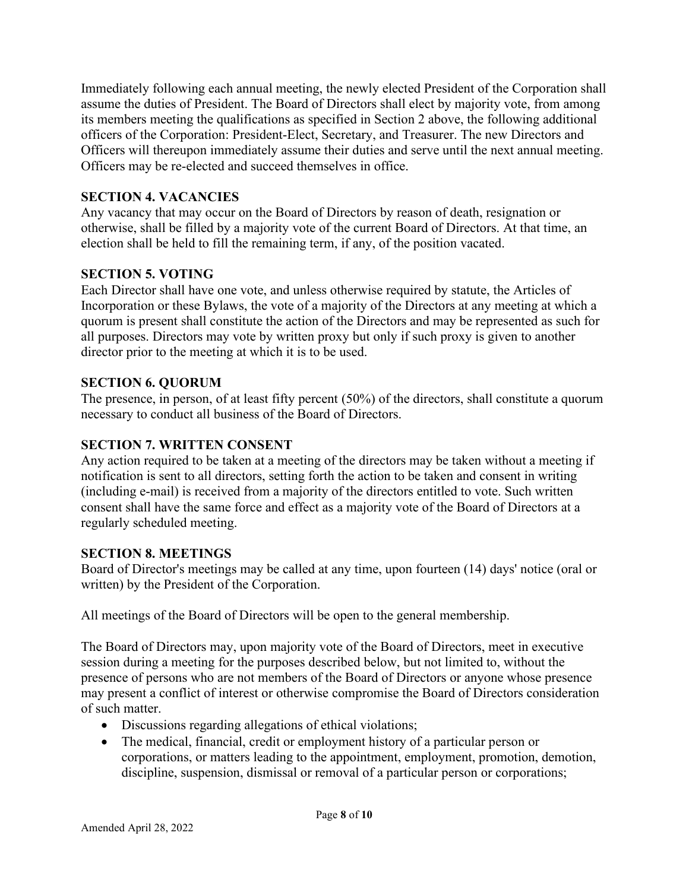Immediately following each annual meeting, the newly elected President of the Corporation shall assume the duties of President. The Board of Directors shall elect by majority vote, from among its members meeting the qualifications as specified in Section 2 above, the following additional officers of the Corporation: President-Elect, Secretary, and Treasurer. The new Directors and Officers will thereupon immediately assume their duties and serve until the next annual meeting. Officers may be re-elected and succeed themselves in office.

## <span id="page-7-0"></span>**SECTION 4. VACANCIES**

Any vacancy that may occur on the Board of Directors by reason of death, resignation or otherwise, shall be filled by a majority vote of the current Board of Directors. At that time, an election shall be held to fill the remaining term, if any, of the position vacated.

# <span id="page-7-1"></span>**SECTION 5. VOTING**

Each Director shall have one vote, and unless otherwise required by statute, the Articles of Incorporation or these Bylaws, the vote of a majority of the Directors at any meeting at which a quorum is present shall constitute the action of the Directors and may be represented as such for all purposes. Directors may vote by written proxy but only if such proxy is given to another director prior to the meeting at which it is to be used.

# <span id="page-7-2"></span>**SECTION 6. QUORUM**

The presence, in person, of at least fifty percent (50%) of the directors, shall constitute a quorum necessary to conduct all business of the Board of Directors.

# <span id="page-7-3"></span>**SECTION 7. WRITTEN CONSENT**

Any action required to be taken at a meeting of the directors may be taken without a meeting if notification is sent to all directors, setting forth the action to be taken and consent in writing (including e-mail) is received from a majority of the directors entitled to vote. Such written consent shall have the same force and effect as a majority vote of the Board of Directors at a regularly scheduled meeting.

# <span id="page-7-4"></span>**SECTION 8. MEETINGS**

Board of Director's meetings may be called at any time, upon fourteen (14) days' notice (oral or written) by the President of the Corporation.

All meetings of the Board of Directors will be open to the general membership.

The Board of Directors may, upon majority vote of the Board of Directors, meet in executive session during a meeting for the purposes described below, but not limited to, without the presence of persons who are not members of the Board of Directors or anyone whose presence may present a conflict of interest or otherwise compromise the Board of Directors consideration of such matter.

- Discussions regarding allegations of ethical violations;
- The medical, financial, credit or employment history of a particular person or corporations, or matters leading to the appointment, employment, promotion, demotion, discipline, suspension, dismissal or removal of a particular person or corporations;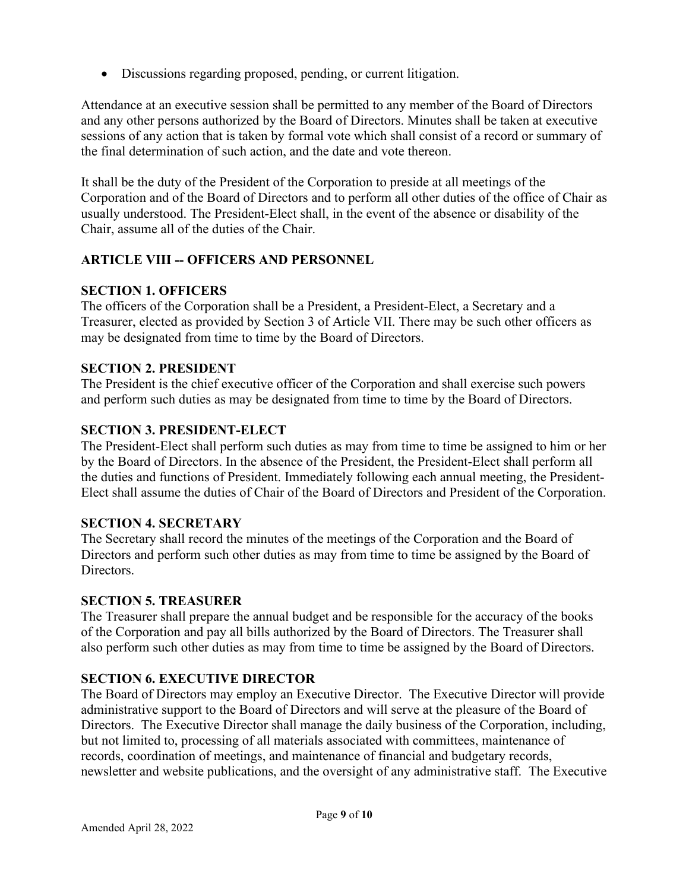• Discussions regarding proposed, pending, or current litigation.

Attendance at an executive session shall be permitted to any member of the Board of Directors and any other persons authorized by the Board of Directors. Minutes shall be taken at executive sessions of any action that is taken by formal vote which shall consist of a record or summary of the final determination of such action, and the date and vote thereon.

It shall be the duty of the President of the Corporation to preside at all meetings of the Corporation and of the Board of Directors and to perform all other duties of the office of Chair as usually understood. The President-Elect shall, in the event of the absence or disability of the Chair, assume all of the duties of the Chair.

### <span id="page-8-0"></span>**ARTICLE VIII -- OFFICERS AND PERSONNEL**

### <span id="page-8-1"></span>**SECTION 1. OFFICERS**

The officers of the Corporation shall be a President, a President-Elect, a Secretary and a Treasurer, elected as provided by Section 3 of Article VII. There may be such other officers as may be designated from time to time by the Board of Directors.

### <span id="page-8-2"></span>**SECTION 2. PRESIDENT**

The President is the chief executive officer of the Corporation and shall exercise such powers and perform such duties as may be designated from time to time by the Board of Directors.

#### <span id="page-8-3"></span>**SECTION 3. PRESIDENT-ELECT**

The President-Elect shall perform such duties as may from time to time be assigned to him or her by the Board of Directors. In the absence of the President, the President-Elect shall perform all the duties and functions of President. Immediately following each annual meeting, the President-Elect shall assume the duties of Chair of the Board of Directors and President of the Corporation.

#### <span id="page-8-4"></span>**SECTION 4. SECRETARY**

The Secretary shall record the minutes of the meetings of the Corporation and the Board of Directors and perform such other duties as may from time to time be assigned by the Board of Directors.

#### <span id="page-8-5"></span>**SECTION 5. TREASURER**

The Treasurer shall prepare the annual budget and be responsible for the accuracy of the books of the Corporation and pay all bills authorized by the Board of Directors. The Treasurer shall also perform such other duties as may from time to time be assigned by the Board of Directors.

#### <span id="page-8-6"></span>**SECTION 6. EXECUTIVE DIRECTOR**

The Board of Directors may employ an Executive Director. The Executive Director will provide administrative support to the Board of Directors and will serve at the pleasure of the Board of Directors. The Executive Director shall manage the daily business of the Corporation, including, but not limited to, processing of all materials associated with committees, maintenance of records, coordination of meetings, and maintenance of financial and budgetary records, newsletter and website publications, and the oversight of any administrative staff. The Executive